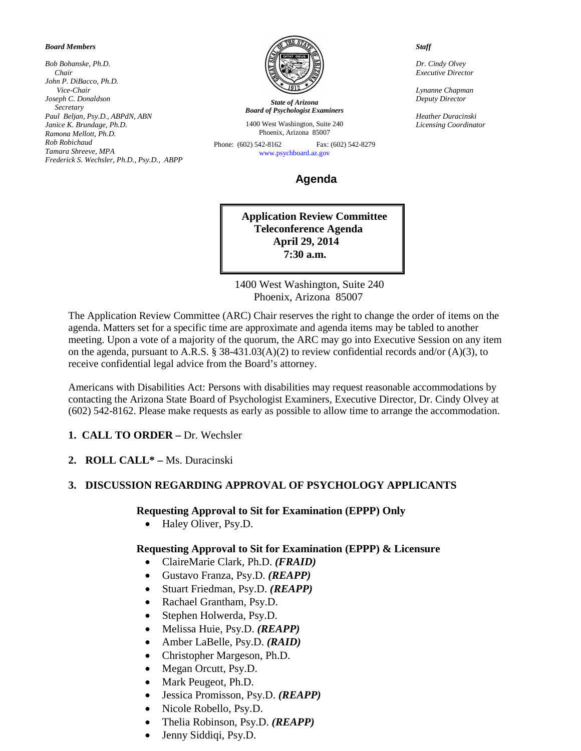#### *Board Members*

*Bob Bohanske, Ph.D. Chair John P. DiBacco, Ph.D. Vice-Chair Joseph C. Donaldson Secretary Paul Beljan, Psy.D., ABPdN, ABN Janice K. Brundage, Ph.D. Ramona Mellott, Ph.D. Rob Robichaud Tamara Shreeve, MPA Frederick S. Wechsler, Ph.D., Psy.D., ABPP*



*State of Arizona Board of Psychologist Examiners*

1400 West Washington, Suite 240 Phoenix, Arizona 85007

Phone: (602) 542-8162 Fax: (602) 542-8279 [www.psychboard.az.gov](http://www.psychboard.az.gov/) 

 **Agenda**

**Application Review Committee Teleconference Agenda April 29, 2014 7:30 a.m.**

 1400 West Washington, Suite 240 Phoenix, Arizona 85007

The Application Review Committee (ARC) Chair reserves the right to change the order of items on the agenda. Matters set for a specific time are approximate and agenda items may be tabled to another meeting. Upon a vote of a majority of the quorum, the ARC may go into Executive Session on any item on the agenda, pursuant to A.R.S. § 38-431.03(A)(2) to review confidential records and/or (A)(3), to receive confidential legal advice from the Board's attorney.

Americans with Disabilities Act: Persons with disabilities may request reasonable accommodations by contacting the Arizona State Board of Psychologist Examiners, Executive Director, Dr. Cindy Olvey at (602) 542-8162. Please make requests as early as possible to allow time to arrange the accommodation.

- **1. CALL TO ORDER –** Dr. Wechsler
- **2. ROLL CALL\* –** Ms. Duracinski

#### **3. DISCUSSION REGARDING APPROVAL OF PSYCHOLOGY APPLICANTS**

#### **Requesting Approval to Sit for Examination (EPPP) Only**

• Haley Oliver, Psy.D.

### **Requesting Approval to Sit for Examination (EPPP) & Licensure**

- ClaireMarie Clark, Ph.D. *(FRAID)*
- Gustavo Franza, Psy.D. *(REAPP)*
- Stuart Friedman, Psy.D. *(REAPP)*
- Rachael Grantham, Psy.D.
- Stephen Holwerda, Psy.D.
- Melissa Huie, Psy.D. *(REAPP)*
- Amber LaBelle, Psy.D. *(RAID)*
- Christopher Margeson, Ph.D.
- Megan Orcutt, Psy.D.
- Mark Peugeot, Ph.D.
- Jessica Promisson, Psy.D. *(REAPP)*
- Nicole Robello, Psy.D.
- Thelia Robinson, Psy.D. *(REAPP)*
- Jenny Siddiqi, Psy.D.

 *Staff*

 *Dr. Cindy Olvey Executive Director*

 *Lynanne Chapman Deputy Director*

 *Heather Duracinski Licensing Coordinator*